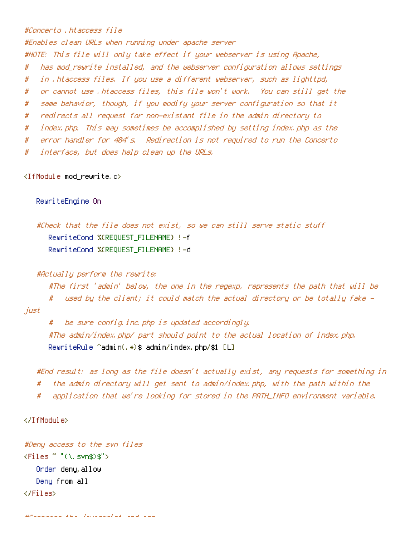## #Concerto .htaccess file

#Enables clean URLs when running under apache server

#NOTE: This file will only take effect if your webserver is using Apache,

- # has mod\_rewrite installed, and the webserver configuration allows settings
- # in .htaccess files. If you use <sup>a</sup> different webserver, such as lighttpd,
- # or cannot use .htaccess files, this file won't work. You can still get the
- # same behavior, though, if you modify your server configuration so that it
- # redirects all request for non-existant file in the admin directory to
- # index.php. This may sometimes be accomplished by setting index.php as the
- # error handler for 404's. Redirection is not required to run the Concerto
- # interface, but does help clean up the URLs.

<IfModule mod\_rewrite.c>

RewriteEngine On

```
#Check that the file does not exist, so we can still serve static stuff
   RewriteCond %{REQUEST_FILENAME} !-f
  RewriteCond %{REQUEST_FILENAME} !-d
```
## #Actually perform the rewrite:

#The first 'admin' below, the one in the regexp, represents the path that will be # used by the client; it could match the actual directory or be totally fake just

# be sure config.inc.php is updated accordingly. #The admin/index.php/ part should point to the actual location of index.php. RewriteRule ^admin(.\*)\$ admin/index.php/\$1 [L]

#End result: as long as the file doesn't actually exist, any requests for something in # the admin directory will get sent to admin/index.php, with the path within the # application that we're looking for stored in the PATH\_INFO environment variable.

## </IfModule>

```
#Deny access to the svn files
\langleFiles " "(\, svn$)$">
   Order deny,allow
   Deny from all
</Files>
```